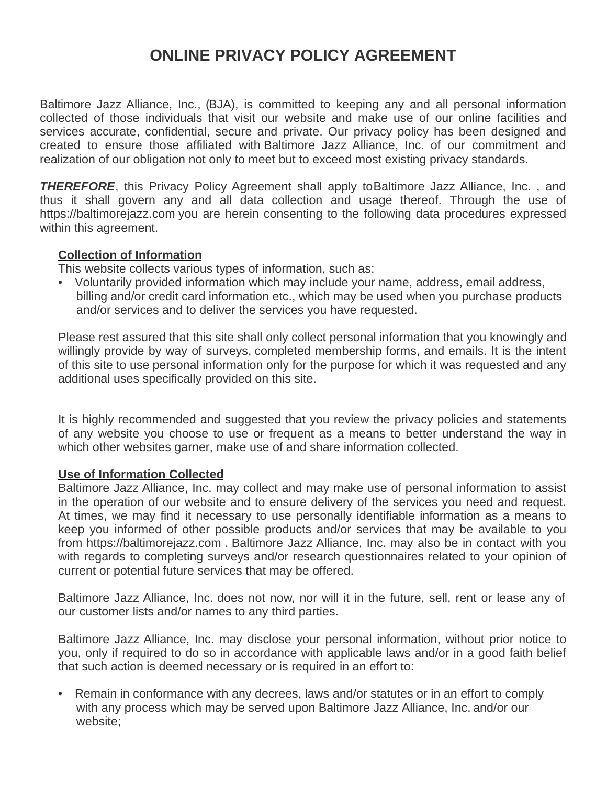# **ONLINE PRIVACY POLICY AGREEMENT**

Baltimore Jazz Alliance, Inc., (BJA), is committed to keeping any and all personal information collected of those individuals that visit our website and make use of our online facilities and services accurate, confidential, secure and private. Our privacy policy has been designed and created to ensure those affiliated with Baltimore Jazz Alliance, Inc. of our commitment and realization of our obligation not only to meet but to exceed most existing privacy standards.

**THEREFORE**, this Privacy Policy Agreement shall apply to Baltimore Jazz Alliance, Inc., and thus it shall govern any and all data collection and usage thereof. Through the use of https://baltimorejazz.com you are herein consenting to the following data procedures expressed within this agreement.

# **Collection of Information**

This website collects various types of information, such as:

• Voluntarily provided information which may include your name, address, email address, billing and/or credit card information etc., which may be used when you purchase products and/or services and to deliver the services you have requested.

Please rest assured that this site shall only collect personal information that you knowingly and willingly provide by way of surveys, completed membership forms, and emails. It is the intent of this site to use personal information only for the purpose for which it was requested and any additional uses specifically provided on this site.

It is highly recommended and suggested that you review the privacy policies and statements of any website you choose to use or frequent as a means to better understand the way in which other websites garner, make use of and share information collected.

## **Use of Information Collected**

Baltimore Jazz Alliance, Inc. may collect and may make use of personal information to assist in the operation of our website and to ensure delivery of the services you need and request. At times, we may find it necessary to use personally identifiable information as a means to keep you informed of other possible products and/or services that may be available to you from https://baltimorejazz.com . Baltimore Jazz Alliance, Inc. may also be in contact with you with regards to completing surveys and/or research questionnaires related to your opinion of current or potential future services that may be offered.

Baltimore Jazz Alliance, Inc. does not now, nor will it in the future, sell, rent or lease any of our customer lists and/or names to any third parties.

Baltimore Jazz Alliance, Inc. may disclose your personal information, without prior notice to you, only if required to do so in accordance with applicable laws and/or in a good faith belief that such action is deemed necessary or is required in an effort to:

• Remain in conformance with any decrees, laws and/or statutes or in an effort to comply with any process which may be served upon Baltimore Jazz Alliance, Inc. and/or our website;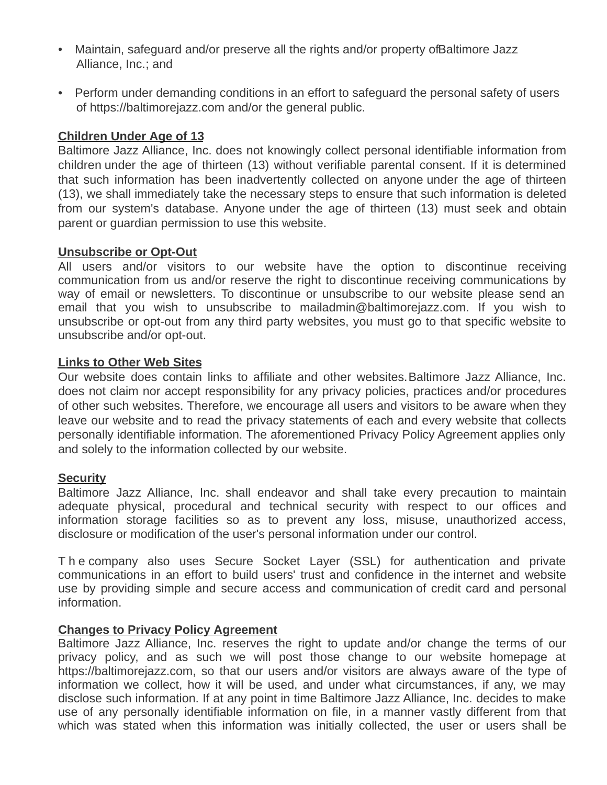- Maintain, safeguard and/or preserve all the rights and/or property of Baltimore Jazz Alliance, Inc.; and
- Perform under demanding conditions in an effort to safeguard the personal safety of users of https://baltimorejazz.com and/or the general public.

# **Children Under Age of 13**

Baltimore Jazz Alliance, Inc. does not knowingly collect personal identifiable information from children under the age of thirteen (13) without verifiable parental consent. If it is determined that such information has been inadvertently collected on anyone under the age of thirteen (13), we shall immediately take the necessary steps to ensure that such information is deleted from our system's database. Anyone under the age of thirteen (13) must seek and obtain parent or guardian permission to use this website.

## **Unsubscribe or Opt-Out**

All users and/or visitors to our website have the option to discontinue receiving communication from us and/or reserve the right to discontinue receiving communications by way of email or newsletters. To discontinue or unsubscribe to our website please send an email that you wish to unsubscribe to mailadmin@baltimorejazz.com. If you wish to unsubscribe or opt-out from any third party websites, you must go to that specific website to unsubscribe and/or opt-out.

## **Links to Other Web Sites**

Our website does contain links to affiliate and other websites. Baltimore Jazz Alliance, Inc. does not claim nor accept responsibility for any privacy policies, practices and/or procedures of other such websites. Therefore, we encourage all users and visitors to be aware when they leave our website and to read the privacy statements of each and every website that collects personally identifiable information. The aforementioned Privacy Policy Agreement applies only and solely to the information collected by our website.

## **Security**

Baltimore Jazz Alliance, Inc. shall endeavor and shall take every precaution to maintain adequate physical, procedural and technical security with respect to our offices and information storage facilities so as to prevent any loss, misuse, unauthorized access, disclosure or modification of the user's personal information under our control.

T h e company also uses Secure Socket Layer (SSL) for authentication and private communications in an effort to build users' trust and confidence in the internet and website use by providing simple and secure access and communication of credit card and personal information.

## **Changes to Privacy Policy Agreement**

Baltimore Jazz Alliance, Inc. reserves the right to update and/or change the terms of our privacy policy, and as such we will post those change to our website homepage at https://baltimorejazz.com, so that our users and/or visitors are always aware of the type of information we collect, how it will be used, and under what circumstances, if any, we may disclose such information. If at any point in time Baltimore Jazz Alliance, Inc. decides to make use of any personally identifiable information on file, in a manner vastly different from that which was stated when this information was initially collected, the user or users shall be